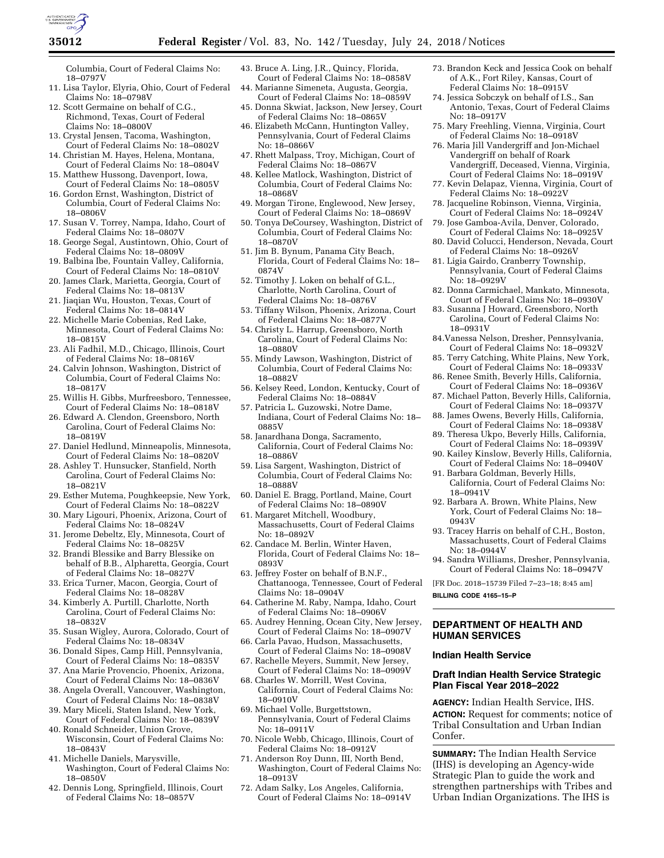

Columbia, Court of Federal Claims No: 18–0797V

- 11. Lisa Taylor, Elyria, Ohio, Court of Federal Claims No: 18–0798V
- 12. Scott Germaine on behalf of C.G., Richmond, Texas, Court of Federal Claims No: 18–0800V
- 13. Crystal Jensen, Tacoma, Washington, Court of Federal Claims No: 18–0802V
- 14. Christian M. Hayes, Helena, Montana, Court of Federal Claims No: 18–0804V
- 15. Matthew Hussong, Davenport, Iowa, Court of Federal Claims No: 18-0805V
- 16. Gordon Ernst, Washington, District of Columbia, Court of Federal Claims No: 18–0806V
- 17. Susan V. Torrey, Nampa, Idaho, Court of Federal Claims No: 18–0807V
- 18. George Segal, Austintown, Ohio, Court of Federal Claims No: 18–0809V
- 19. Balbina Ibe, Fountain Valley, California, Court of Federal Claims No: 18–0810V
- 20. James Clark, Marietta, Georgia, Court of Federal Claims No: 18–0813V
- 21. Jiaqian Wu, Houston, Texas, Court of Federal Claims No: 18–0814V
- 22. Michelle Marie Cobenias, Red Lake, Minnesota, Court of Federal Claims No: 18–0815V
- 23. Ali Fadhil, M.D., Chicago, Illinois, Court of Federal Claims No: 18–0816V
- 24. Calvin Johnson, Washington, District of Columbia, Court of Federal Claims No: 18–0817V
- 25. Willis H. Gibbs, Murfreesboro, Tennessee, Court of Federal Claims No: 18–0818V
- 26. Edward A. Clendon, Greensboro, North Carolina, Court of Federal Claims No: 18–0819V
- 27. Daniel Hedlund, Minneapolis, Minnesota, Court of Federal Claims No: 18–0820V
- 28. Ashley T. Hunsucker, Stanfield, North Carolina, Court of Federal Claims No: 18–0821V
- 29. Esther Mutema, Poughkeepsie, New York, Court of Federal Claims No: 18–0822V
- 30. Mary Ligouri, Phoenix, Arizona, Court of Federal Claims No: 18–0824V
- 31. Jerome Debeltz, Ely, Minnesota, Court of Federal Claims No: 18–0825V
- 32. Brandi Blessike and Barry Blessike on behalf of B.B., Alpharetta, Georgia, Court of Federal Claims No: 18–0827V
- 33. Erica Turner, Macon, Georgia, Court of Federal Claims No: 18–0828V
- 34. Kimberly A. Purtill, Charlotte, North Carolina, Court of Federal Claims No: 18–0832V
- 35. Susan Wigley, Aurora, Colorado, Court of Federal Claims No: 18–0834V
- 36. Donald Sipes, Camp Hill, Pennsylvania, Court of Federal Claims No: 18–0835V
- 37. Ana Marie Provencio, Phoenix, Arizona, Court of Federal Claims No: 18–0836V
- 38. Angela Overall, Vancouver, Washington, Court of Federal Claims No: 18–0838V
- 39. Mary Miceli, Staten Island, New York, Court of Federal Claims No: 18–0839V
- 40. Ronald Schneider, Union Grove, Wisconsin, Court of Federal Claims No: 18–0843V
- 41. Michelle Daniels, Marysville, Washington, Court of Federal Claims No: 18–0850V
- 42. Dennis Long, Springfield, Illinois, Court of Federal Claims No: 18–0857V
- 43. Bruce A. Ling, J.R., Quincy, Florida, Court of Federal Claims No: 18–0858V
- 44. Marianne Simeneta, Augusta, Georgia, Court of Federal Claims No: 18–0859V 45. Donna Skwiat, Jackson, New Jersey, Court
- of Federal Claims No: 18–0865V
- 46. Elizabeth McCann, Huntington Valley, Pennsylvania, Court of Federal Claims No: 18–0866V
- 47. Rhett Malpass, Troy, Michigan, Court of Federal Claims No: 18–0867V
- 48. Kellee Matlock, Washington, District of Columbia, Court of Federal Claims No: 18–0868V
- 49. Morgan Tirone, Englewood, New Jersey, Court of Federal Claims No: 18–0869V
- 50. Tonya DeCoursey, Washington, District of Columbia, Court of Federal Claims No: 18–0870V
- 51. Jim B. Bynum, Panama City Beach, Florida, Court of Federal Claims No: 18– 0874V
- 52. Timothy J. Loken on behalf of G.L., Charlotte, North Carolina, Court of Federal Claims No: 18–0876V
- 53. Tiffany Wilson, Phoenix, Arizona, Court of Federal Claims No: 18–0877V
- 54. Christy L. Harrup, Greensboro, North Carolina, Court of Federal Claims No: 18–0880V
- 55. Mindy Lawson, Washington, District of Columbia, Court of Federal Claims No: 18–0882V
- 56. Kelsey Reed, London, Kentucky, Court of Federal Claims No: 18–0884V
- 57. Patricia L. Guzowski, Notre Dame, Indiana, Court of Federal Claims No: 18– 0885V
- 58. Janardhana Donga, Sacramento, California, Court of Federal Claims No: 18–0886V
- 59. Lisa Sargent, Washington, District of Columbia, Court of Federal Claims No: 18–0888V
- 60. Daniel E. Bragg, Portland, Maine, Court of Federal Claims No: 18–0890V
- 61. Margaret Mitchell, Woodbury, Massachusetts, Court of Federal Claims No: 18–0892V
- 62. Candace M. Berlin, Winter Haven, Florida, Court of Federal Claims No: 18– 0893V
- 63. Jeffrey Foster on behalf of B.N.F., Chattanooga, Tennessee, Court of Federal Claims No: 18–0904V
- 64. Catherine M. Raby, Nampa, Idaho, Court of Federal Claims No: 18–0906V
- 65. Audrey Henning, Ocean City, New Jersey, Court of Federal Claims No: 18–0907V
- 66. Carla Pavao, Hudson, Massachusetts, Court of Federal Claims No: 18–0908V
- 67. Rachelle Meyers, Summit, New Jersey, Court of Federal Claims No: 18–0909V
- 68. Charles W. Morrill, West Covina, California, Court of Federal Claims No: 18–0910V
- 69. Michael Volle, Burgettstown, Pennsylvania, Court of Federal Claims No: 18–0911V
- 70. Nicole Webb, Chicago, Illinois, Court of Federal Claims No: 18–0912V
- 71. Anderson Roy Dunn, III, North Bend, Washington, Court of Federal Claims No: 18–0913V
- 72. Adam Salky, Los Angeles, California, Court of Federal Claims No: 18–0914V
- 73. Brandon Keck and Jessica Cook on behalf of A.K., Fort Riley, Kansas, Court of Federal Claims No: 18–0915V
- 74. Jessica Sobczyk on behalf of I.S., San Antonio, Texas, Court of Federal Claims No: 18–0917V
- 75. Mary Freehling, Vienna, Virginia, Court of Federal Claims No: 18–0918V
- 76. Maria Jill Vandergriff and Jon-Michael Vandergriff on behalf of Roark Vandergriff, Deceased, Vienna, Virginia, Court of Federal Claims No: 18–0919V
- 77. Kevin Delapaz, Vienna, Virginia, Court of Federal Claims No: 18–0922V
- 78. Jacqueline Robinson, Vienna, Virginia, Court of Federal Claims No: 18–0924V
- 79. Jose Gamboa-Avila, Denver, Colorado, Court of Federal Claims No: 18–0925V
- 80. David Colucci, Henderson, Nevada, Court of Federal Claims No: 18–0926V
- 81. Ligia Gairdo, Cranberry Township, Pennsylvania, Court of Federal Claims No: 18–0929V
- 82. Donna Carmichael, Mankato, Minnesota, Court of Federal Claims No: 18–0930V
- 83. Susanna J Howard, Greensboro, North Carolina, Court of Federal Claims No: 18–0931V
- 84.Vanessa Nelson, Dresher, Pennsylvania, Court of Federal Claims No: 18–0932V
- 85. Terry Catching, White Plains, New York, Court of Federal Claims No: 18–0933V
- 86. Renee Smith, Beverly Hills, California, Court of Federal Claims No: 18–0936V
- 87. Michael Patton, Beverly Hills, California, Court of Federal Claims No: 18–0937V
- 88. James Owens, Beverly Hills, California, Court of Federal Claims No: 18–0938V
- 89. Theresa Ukpo, Beverly Hills, California, Court of Federal Claims No: 18–0939V
- 90. Kailey Kinslow, Beverly Hills, California, Court of Federal Claims No: 18–0940V
- 91. Barbara Goldman, Beverly Hills, California, Court of Federal Claims No: 18–0941V
- 92. Barbara A. Brown, White Plains, New York, Court of Federal Claims No: 18– 0943V
- 93. Tracey Harris on behalf of C.H., Boston, Massachusetts, Court of Federal Claims No: 18–0944V
- 94. Sandra Williams, Dresher, Pennsylvania, Court of Federal Claims No: 18–0947V

[FR Doc. 2018–15739 Filed 7–23–18; 8:45 am]

**BILLING CODE 4165–15–P** 

## **DEPARTMENT OF HEALTH AND HUMAN SERVICES**

### **Indian Health Service**

## **Draft Indian Health Service Strategic Plan Fiscal Year 2018–2022**

**AGENCY:** Indian Health Service, IHS. **ACTION:** Request for comments; notice of Tribal Consultation and Urban Indian Confer.

**SUMMARY:** The Indian Health Service (IHS) is developing an Agency-wide Strategic Plan to guide the work and strengthen partnerships with Tribes and Urban Indian Organizations. The IHS is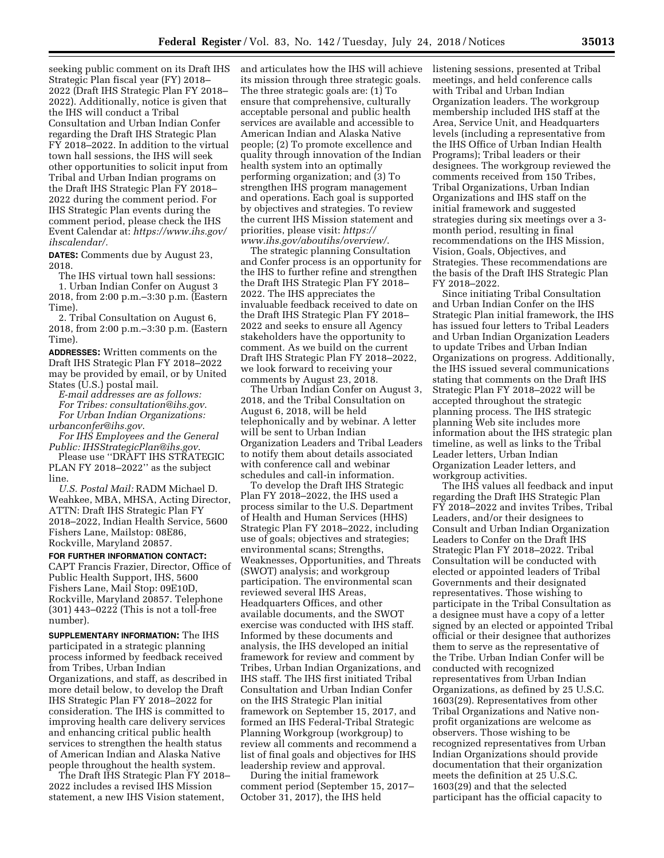seeking public comment on its Draft IHS Strategic Plan fiscal year (FY) 2018– 2022 (Draft IHS Strategic Plan FY 2018– 2022). Additionally, notice is given that the IHS will conduct a Tribal Consultation and Urban Indian Confer regarding the Draft IHS Strategic Plan FY 2018–2022. In addition to the virtual town hall sessions, the IHS will seek other opportunities to solicit input from Tribal and Urban Indian programs on the Draft IHS Strategic Plan FY 2018– 2022 during the comment period. For IHS Strategic Plan events during the comment period, please check the IHS Event Calendar at: *[https://www.ihs.gov/](https://www.ihs.gov/ihscalendar/)  [ihscalendar/.](https://www.ihs.gov/ihscalendar/)* 

**DATES:** Comments due by August 23, 2018.

The IHS virtual town hall sessions: 1. Urban Indian Confer on August 3 2018, from 2:00 p.m.–3:30 p.m. (Eastern Time).

2. Tribal Consultation on August 6, 2018, from 2:00 p.m.–3:30 p.m. (Eastern Time).

**ADDRESSES:** Written comments on the Draft IHS Strategic Plan FY 2018–2022 may be provided by email, or by United States (U.S.) postal mail.

*E-mail addresses are as follows:* 

*For Tribes: consultation@ihs.gov*. *For Urban Indian Organizations:* 

*urbanconfer@ihs.gov*. *For IHS Employees and the General* 

*Public: [IHSStrategicPlan@ihs.gov](mailto:IHSStrategicPlan@ihs.gov)*. Please use ''DRAFT IHS STRATEGIC

PLAN FY 2018–2022'' as the subject line.

*U.S. Postal Mail:* RADM Michael D. Weahkee, MBA, MHSA, Acting Director, ATTN: Draft IHS Strategic Plan FY 2018–2022, Indian Health Service, 5600 Fishers Lane, Mailstop: 08E86, Rockville, Maryland 20857.

**FOR FURTHER INFORMATION CONTACT:**  CAPT Francis Frazier, Director, Office of Public Health Support, IHS, 5600 Fishers Lane, Mail Stop: 09E10D, Rockville, Maryland 20857. Telephone (301) 443–0222 (This is not a toll-free number).

**SUPPLEMENTARY INFORMATION:** The IHS participated in a strategic planning process informed by feedback received from Tribes, Urban Indian Organizations, and staff, as described in more detail below, to develop the Draft IHS Strategic Plan FY 2018–2022 for consideration. The IHS is committed to improving health care delivery services and enhancing critical public health services to strengthen the health status of American Indian and Alaska Native people throughout the health system.

The Draft IHS Strategic Plan FY 2018– 2022 includes a revised IHS Mission statement, a new IHS Vision statement,

and articulates how the IHS will achieve its mission through three strategic goals. The three strategic goals are: (1) To ensure that comprehensive, culturally acceptable personal and public health services are available and accessible to American Indian and Alaska Native people; (2) To promote excellence and quality through innovation of the Indian health system into an optimally performing organization; and (3) To strengthen IHS program management and operations. Each goal is supported by objectives and strategies. To review the current IHS Mission statement and priorities, please visit: *[https://](https://www.ihs.gov/aboutihs/overview/) [www.ihs.gov/aboutihs/overview/](https://www.ihs.gov/aboutihs/overview/)*.

The strategic planning Consultation and Confer process is an opportunity for the IHS to further refine and strengthen the Draft IHS Strategic Plan FY 2018– 2022. The IHS appreciates the invaluable feedback received to date on the Draft IHS Strategic Plan FY 2018– 2022 and seeks to ensure all Agency stakeholders have the opportunity to comment. As we build on the current Draft IHS Strategic Plan FY 2018–2022, we look forward to receiving your comments by August 23, 2018.

The Urban Indian Confer on August 3, 2018, and the Tribal Consultation on August 6, 2018, will be held telephonically and by webinar. A letter will be sent to Urban Indian Organization Leaders and Tribal Leaders to notify them about details associated with conference call and webinar schedules and call-in information.

To develop the Draft IHS Strategic Plan FY 2018–2022, the IHS used a process similar to the U.S. Department of Health and Human Services (HHS) Strategic Plan FY 2018–2022, including use of goals; objectives and strategies; environmental scans; Strengths, Weaknesses, Opportunities, and Threats (SWOT) analysis; and workgroup participation. The environmental scan reviewed several IHS Areas, Headquarters Offices, and other available documents, and the SWOT exercise was conducted with IHS staff. Informed by these documents and analysis, the IHS developed an initial framework for review and comment by Tribes, Urban Indian Organizations, and IHS staff. The IHS first initiated Tribal Consultation and Urban Indian Confer on the IHS Strategic Plan initial framework on September 15, 2017, and formed an IHS Federal-Tribal Strategic Planning Workgroup (workgroup) to review all comments and recommend a list of final goals and objectives for IHS leadership review and approval.

During the initial framework comment period (September 15, 2017– October 31, 2017), the IHS held

listening sessions, presented at Tribal meetings, and held conference calls with Tribal and Urban Indian Organization leaders. The workgroup membership included IHS staff at the Area, Service Unit, and Headquarters levels (including a representative from the IHS Office of Urban Indian Health Programs); Tribal leaders or their designees. The workgroup reviewed the comments received from 150 Tribes, Tribal Organizations, Urban Indian Organizations and IHS staff on the initial framework and suggested strategies during six meetings over a 3 month period, resulting in final recommendations on the IHS Mission, Vision, Goals, Objectives, and Strategies. These recommendations are the basis of the Draft IHS Strategic Plan FY 2018–2022.

Since initiating Tribal Consultation and Urban Indian Confer on the IHS Strategic Plan initial framework, the IHS has issued four letters to Tribal Leaders and Urban Indian Organization Leaders to update Tribes and Urban Indian Organizations on progress. Additionally, the IHS issued several communications stating that comments on the Draft IHS Strategic Plan FY 2018–2022 will be accepted throughout the strategic planning process. The IHS strategic planning Web site includes more information about the IHS strategic plan timeline, as well as links to the Tribal Leader letters, Urban Indian Organization Leader letters, and workgroup activities.

The IHS values all feedback and input regarding the Draft IHS Strategic Plan FY 2018–2022 and invites Tribes, Tribal Leaders, and/or their designees to Consult and Urban Indian Organization Leaders to Confer on the Draft IHS Strategic Plan FY 2018–2022. Tribal Consultation will be conducted with elected or appointed leaders of Tribal Governments and their designated representatives. Those wishing to participate in the Tribal Consultation as a designee must have a copy of a letter signed by an elected or appointed Tribal official or their designee that authorizes them to serve as the representative of the Tribe. Urban Indian Confer will be conducted with recognized representatives from Urban Indian Organizations, as defined by 25 U.S.C. 1603(29). Representatives from other Tribal Organizations and Native nonprofit organizations are welcome as observers. Those wishing to be recognized representatives from Urban Indian Organizations should provide documentation that their organization meets the definition at 25 U.S.C. 1603(29) and that the selected participant has the official capacity to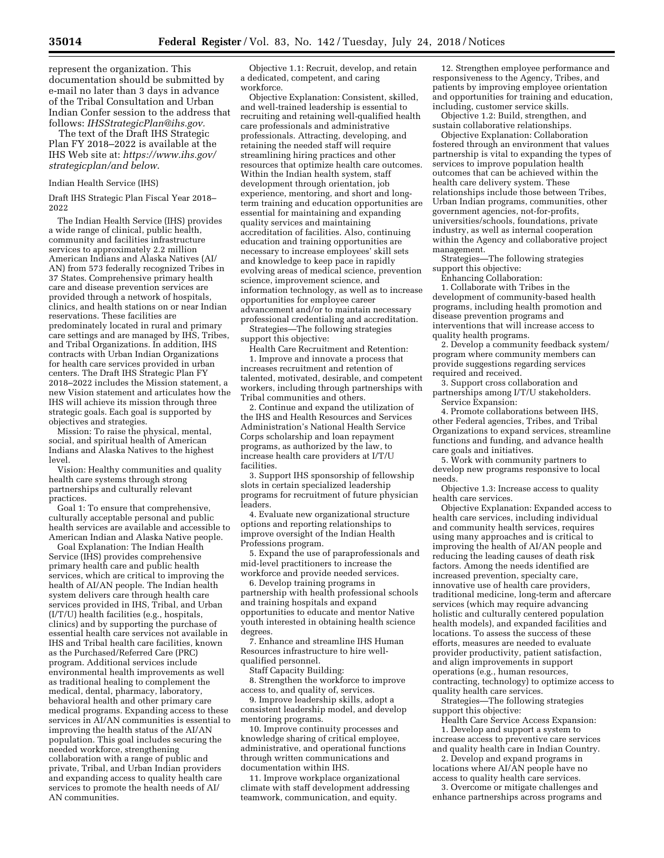represent the organization. This documentation should be submitted by e-mail no later than 3 days in advance of the Tribal Consultation and Urban Indian Confer session to the address that follows: *[IHSStrategicPlan@ihs.gov.](mailto:IHSStrategicPlan@ihs.gov)* 

The text of the Draft IHS Strategic Plan FY 2018–2022 is available at the IHS Web site at: *[https://www.ihs.gov/](https://www.ihs.gov/strategicplan/and below)  [strategicplan/and below](https://www.ihs.gov/strategicplan/and below)*.

#### Indian Health Service (IHS)

Draft IHS Strategic Plan Fiscal Year 2018– 2022

The Indian Health Service (IHS) provides a wide range of clinical, public health, community and facilities infrastructure services to approximately 2.2 million American Indians and Alaska Natives (AI/ AN) from 573 federally recognized Tribes in 37 States. Comprehensive primary health care and disease prevention services are provided through a network of hospitals, clinics, and health stations on or near Indian reservations. These facilities are predominately located in rural and primary care settings and are managed by IHS, Tribes, and Tribal Organizations. In addition, IHS contracts with Urban Indian Organizations for health care services provided in urban centers. The Draft IHS Strategic Plan FY 2018–2022 includes the Mission statement, a new Vision statement and articulates how the IHS will achieve its mission through three strategic goals. Each goal is supported by objectives and strategies.

Mission: To raise the physical, mental, social, and spiritual health of American Indians and Alaska Natives to the highest level.

Vision: Healthy communities and quality health care systems through strong partnerships and culturally relevant practices.

Goal 1: To ensure that comprehensive, culturally acceptable personal and public health services are available and accessible to American Indian and Alaska Native people.

Goal Explanation: The Indian Health Service (IHS) provides comprehensive primary health care and public health services, which are critical to improving the health of AI/AN people. The Indian health system delivers care through health care services provided in IHS, Tribal, and Urban (I/T/U) health facilities (e.g., hospitals, clinics) and by supporting the purchase of essential health care services not available in IHS and Tribal health care facilities, known as the Purchased/Referred Care (PRC) program. Additional services include environmental health improvements as well as traditional healing to complement the medical, dental, pharmacy, laboratory, behavioral health and other primary care medical programs. Expanding access to these services in AI/AN communities is essential to improving the health status of the AI/AN population. This goal includes securing the needed workforce, strengthening collaboration with a range of public and private, Tribal, and Urban Indian providers and expanding access to quality health care services to promote the health needs of AI/ AN communities.

Objective 1.1: Recruit, develop, and retain a dedicated, competent, and caring workforce.

Objective Explanation: Consistent, skilled, and well-trained leadership is essential to recruiting and retaining well-qualified health care professionals and administrative professionals. Attracting, developing, and retaining the needed staff will require streamlining hiring practices and other resources that optimize health care outcomes. Within the Indian health system, staff development through orientation, job experience, mentoring, and short and longterm training and education opportunities are essential for maintaining and expanding quality services and maintaining accreditation of facilities. Also, continuing education and training opportunities are necessary to increase employees' skill sets and knowledge to keep pace in rapidly evolving areas of medical science, prevention science, improvement science, and information technology, as well as to increase opportunities for employee career advancement and/or to maintain necessary professional credentialing and accreditation.

Strategies—The following strategies support this objective:

Health Care Recruitment and Retention: 1. Improve and innovate a process that increases recruitment and retention of talented, motivated, desirable, and competent workers, including through partnerships with

Tribal communities and others. 2. Continue and expand the utilization of the IHS and Health Resources and Services Administration's National Health Service Corps scholarship and loan repayment programs, as authorized by the law, to increase health care providers at I/T/U facilities.

3. Support IHS sponsorship of fellowship slots in certain specialized leadership programs for recruitment of future physician leaders.

4. Evaluate new organizational structure options and reporting relationships to improve oversight of the Indian Health Professions program.

5. Expand the use of paraprofessionals and mid-level practitioners to increase the workforce and provide needed services.

6. Develop training programs in partnership with health professional schools and training hospitals and expand opportunities to educate and mentor Native youth interested in obtaining health science degrees.

7. Enhance and streamline IHS Human Resources infrastructure to hire wellqualified personnel.

Staff Capacity Building:

8. Strengthen the workforce to improve access to, and quality of, services.

9. Improve leadership skills, adopt a consistent leadership model, and develop mentoring programs.

10. Improve continuity processes and knowledge sharing of critical employee, administrative, and operational functions through written communications and documentation within IHS.

11. Improve workplace organizational climate with staff development addressing teamwork, communication, and equity.

12. Strengthen employee performance and responsiveness to the Agency, Tribes, and patients by improving employee orientation and opportunities for training and education, including, customer service skills.

Objective 1.2: Build, strengthen, and sustain collaborative relationships.

Objective Explanation: Collaboration fostered through an environment that values partnership is vital to expanding the types of services to improve population health outcomes that can be achieved within the health care delivery system. These relationships include those between Tribes, Urban Indian programs, communities, other government agencies, not-for-profits, universities/schools, foundations, private industry, as well as internal cooperation within the Agency and collaborative project management.

Strategies—The following strategies support this objective:

Enhancing Collaboration:

1. Collaborate with Tribes in the development of community-based health programs, including health promotion and disease prevention programs and interventions that will increase access to quality health programs.

2. Develop a community feedback system/ program where community members can provide suggestions regarding services required and received.

3. Support cross collaboration and partnerships among I/T/U stakeholders. Service Expansion:

4. Promote collaborations between IHS, other Federal agencies, Tribes, and Tribal Organizations to expand services, streamline functions and funding, and advance health care goals and initiatives.

5. Work with community partners to develop new programs responsive to local needs.

Objective 1.3: Increase access to quality health care services.

Objective Explanation: Expanded access to health care services, including individual and community health services, requires using many approaches and is critical to improving the health of AI/AN people and reducing the leading causes of death risk factors. Among the needs identified are increased prevention, specialty care, innovative use of health care providers, traditional medicine, long-term and aftercare services (which may require advancing holistic and culturally centered population health models), and expanded facilities and locations. To assess the success of these efforts, measures are needed to evaluate provider productivity, patient satisfaction, and align improvements in support operations (e.g., human resources, contracting, technology) to optimize access to quality health care services.

Strategies—The following strategies support this objective:

Health Care Service Access Expansion: 1. Develop and support a system to increase access to preventive care services and quality health care in Indian Country.

2. Develop and expand programs in locations where AI/AN people have no access to quality health care services.

3. Overcome or mitigate challenges and enhance partnerships across programs and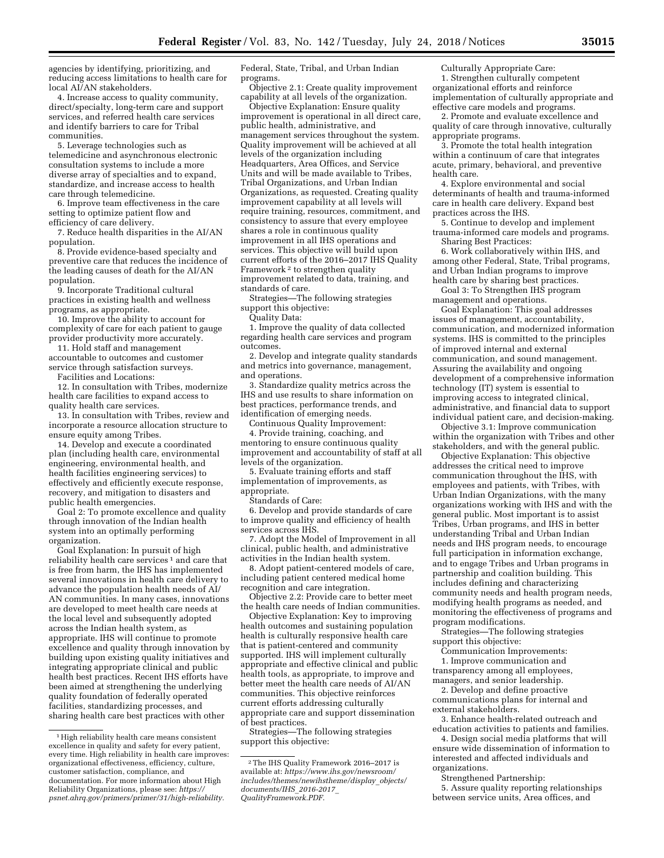agencies by identifying, prioritizing, and reducing access limitations to health care for local AI/AN stakeholders.

4. Increase access to quality community, direct/specialty, long-term care and support services, and referred health care services and identify barriers to care for Tribal communities.

5. Leverage technologies such as telemedicine and asynchronous electronic consultation systems to include a more diverse array of specialties and to expand, standardize, and increase access to health care through telemedicine.

6. Improve team effectiveness in the care setting to optimize patient flow and efficiency of care delivery.

7. Reduce health disparities in the AI/AN population.

8. Provide evidence-based specialty and preventive care that reduces the incidence of the leading causes of death for the AI/AN population.

9. Incorporate Traditional cultural practices in existing health and wellness programs, as appropriate.

10. Improve the ability to account for complexity of care for each patient to gauge provider productivity more accurately.

11. Hold staff and management accountable to outcomes and customer service through satisfaction surveys.

Facilities and Locations:

12. In consultation with Tribes, modernize health care facilities to expand access to quality health care services.

13. In consultation with Tribes, review and incorporate a resource allocation structure to ensure equity among Tribes.

14. Develop and execute a coordinated plan (including health care, environmental engineering, environmental health, and health facilities engineering services) to effectively and efficiently execute response, recovery, and mitigation to disasters and public health emergencies.

Goal 2: To promote excellence and quality through innovation of the Indian health system into an optimally performing organization.

Goal Explanation: In pursuit of high reliability health care services<sup>1</sup> and care that is free from harm, the IHS has implemented several innovations in health care delivery to advance the population health needs of AI/ AN communities. In many cases, innovations are developed to meet health care needs at the local level and subsequently adopted across the Indian health system, as appropriate. IHS will continue to promote excellence and quality through innovation by building upon existing quality initiatives and integrating appropriate clinical and public health best practices. Recent IHS efforts have been aimed at strengthening the underlying quality foundation of federally operated facilities, standardizing processes, and sharing health care best practices with other

Federal, State, Tribal, and Urban Indian programs.

Objective 2.1: Create quality improvement capability at all levels of the organization.

Objective Explanation: Ensure quality improvement is operational in all direct care, public health, administrative, and management services throughout the system. Quality improvement will be achieved at all levels of the organization including Headquarters, Area Offices, and Service Units and will be made available to Tribes, Tribal Organizations, and Urban Indian Organizations, as requested. Creating quality improvement capability at all levels will require training, resources, commitment, and consistency to assure that every employee shares a role in continuous quality improvement in all IHS operations and services. This objective will build upon current efforts of the 2016–2017 IHS Quality Framework 2 to strengthen quality improvement related to data, training, and standards of care.

Strategies—The following strategies support this objective:

Quality Data:

1. Improve the quality of data collected regarding health care services and program outcomes.

2. Develop and integrate quality standards and metrics into governance, management, and operations.

3. Standardize quality metrics across the IHS and use results to share information on best practices, performance trends, and identification of emerging needs.

Continuous Quality Improvement:

4. Provide training, coaching, and mentoring to ensure continuous quality improvement and accountability of staff at all levels of the organization.

5. Evaluate training efforts and staff implementation of improvements, as appropriate.

Standards of Care:

6. Develop and provide standards of care to improve quality and efficiency of health services across IHS.

7. Adopt the Model of Improvement in all clinical, public health, and administrative activities in the Indian health system.

8. Adopt patient-centered models of care, including patient centered medical home recognition and care integration.

Objective 2.2: Provide care to better meet the health care needs of Indian communities.

Objective Explanation: Key to improving health outcomes and sustaining population health is culturally responsive health care that is patient-centered and community supported. IHS will implement culturally appropriate and effective clinical and public health tools, as appropriate, to improve and better meet the health care needs of AI/AN communities. This objective reinforces current efforts addressing culturally appropriate care and support dissemination of best practices.

Strategies—The following strategies support this objective:

Culturally Appropriate Care: 1. Strengthen culturally competent organizational efforts and reinforce implementation of culturally appropriate and effective care models and programs.

2. Promote and evaluate excellence and quality of care through innovative, culturally appropriate programs.

3. Promote the total health integration within a continuum of care that integrates acute, primary, behavioral, and preventive health care.

4. Explore environmental and social determinants of health and trauma-informed care in health care delivery. Expand best practices across the IHS.

5. Continue to develop and implement trauma-informed care models and programs. Sharing Best Practices:

6. Work collaboratively within IHS, and among other Federal, State, Tribal programs, and Urban Indian programs to improve health care by sharing best practices.

Goal 3: To Strengthen IHS program management and operations.

Goal Explanation: This goal addresses issues of management, accountability, communication, and modernized information systems. IHS is committed to the principles of improved internal and external communication, and sound management. Assuring the availability and ongoing development of a comprehensive information technology (IT) system is essential to improving access to integrated clinical, administrative, and financial data to support individual patient care, and decision-making.

Objective 3.1: Improve communication within the organization with Tribes and other stakeholders, and with the general public.

Objective Explanation: This objective addresses the critical need to improve communication throughout the IHS, with employees and patients, with Tribes, with Urban Indian Organizations, with the many organizations working with IHS and with the general public. Most important is to assist Tribes, Urban programs, and IHS in better understanding Tribal and Urban Indian needs and IHS program needs, to encourage full participation in information exchange, and to engage Tribes and Urban programs in partnership and coalition building. This includes defining and characterizing community needs and health program needs, modifying health programs as needed, and monitoring the effectiveness of programs and program modifications.

Strategies—The following strategies support this objective:

Communication Improvements: 1. Improve communication and transparency among all employees,

managers, and senior leadership.

2. Develop and define proactive communications plans for internal and external stakeholders.

3. Enhance health-related outreach and education activities to patients and families.

4. Design social media platforms that will ensure wide dissemination of information to interested and affected individuals and organizations.

Strengthened Partnership:

5. Assure quality reporting relationships between service units, Area offices, and

<sup>&</sup>lt;sup>1</sup>High reliability health care means consistent excellence in quality and safety for every patient, every time. High reliability in health care improves: organizational effectiveness, efficiency, culture, customer satisfaction, compliance, and documentation. For more information about High Reliability Organizations, please see: *[https://](https://psnet.ahrq.gov/primers/primer/31/high-reliability) [psnet.ahrq.gov/primers/primer/31/high-reliability.](https://psnet.ahrq.gov/primers/primer/31/high-reliability)* 

<sup>2</sup>The IHS Quality Framework 2016–2017 is available at: *[https://www.ihs.gov/newsroom/](https://www.ihs.gov/newsroom/includes/themes/newihstheme/display_objects/documents/IHS_2016-2017_QualityFramework.PDF)  [includes/themes/newihstheme/display](https://www.ihs.gov/newsroom/includes/themes/newihstheme/display_objects/documents/IHS_2016-2017_QualityFramework.PDF)*\_*objects/ [documents/IHS](https://www.ihs.gov/newsroom/includes/themes/newihstheme/display_objects/documents/IHS_2016-2017_QualityFramework.PDF)*\_*2016-2017*\_ *[QualityFramework.PDF](https://www.ihs.gov/newsroom/includes/themes/newihstheme/display_objects/documents/IHS_2016-2017_QualityFramework.PDF)*.